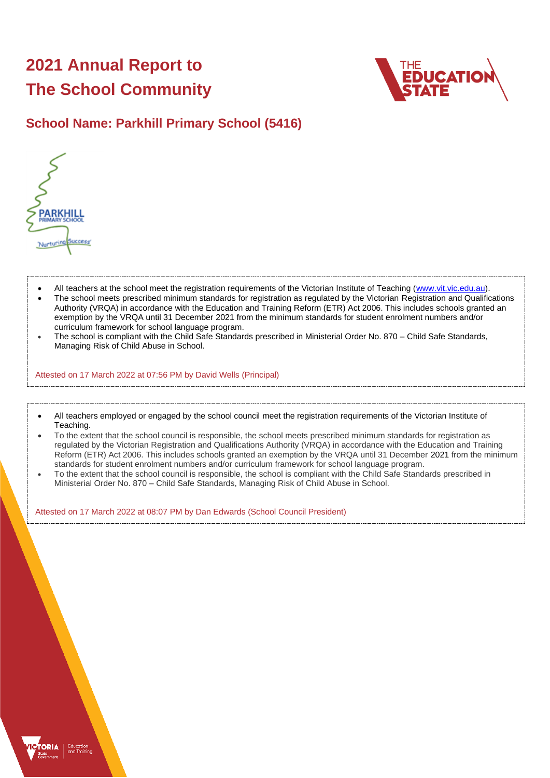# **2021 Annual Report to The School Community**



# **School Name: Parkhill Primary School (5416)**



- All teachers at the school meet the registration requirements of the Victorian Institute of Teaching [\(www.vit.vic.edu.au\)](https://www.vit.vic.edu.au/).
- The school meets prescribed minimum standards for registration as regulated by the Victorian Registration and Qualifications Authority (VRQA) in accordance with the Education and Training Reform (ETR) Act 2006. This includes schools granted an exemption by the VRQA until 31 December 2021 from the minimum standards for student enrolment numbers and/or curriculum framework for school language program.
- The school is compliant with the Child Safe Standards prescribed in Ministerial Order No. 870 Child Safe Standards, Managing Risk of Child Abuse in School.

Attested on 17 March 2022 at 07:56 PM by David Wells (Principal)

- All teachers employed or engaged by the school council meet the registration requirements of the Victorian Institute of Teaching.
- To the extent that the school council is responsible, the school meets prescribed minimum standards for registration as regulated by the Victorian Registration and Qualifications Authority (VRQA) in accordance with the Education and Training Reform (ETR) Act 2006. This includes schools granted an exemption by the VRQA until 31 December 2021 from the minimum standards for student enrolment numbers and/or curriculum framework for school language program.
- To the extent that the school council is responsible, the school is compliant with the Child Safe Standards prescribed in Ministerial Order No. 870 – Child Safe Standards, Managing Risk of Child Abuse in School.

Attested on 17 March 2022 at 08:07 PM by Dan Edwards (School Council President)

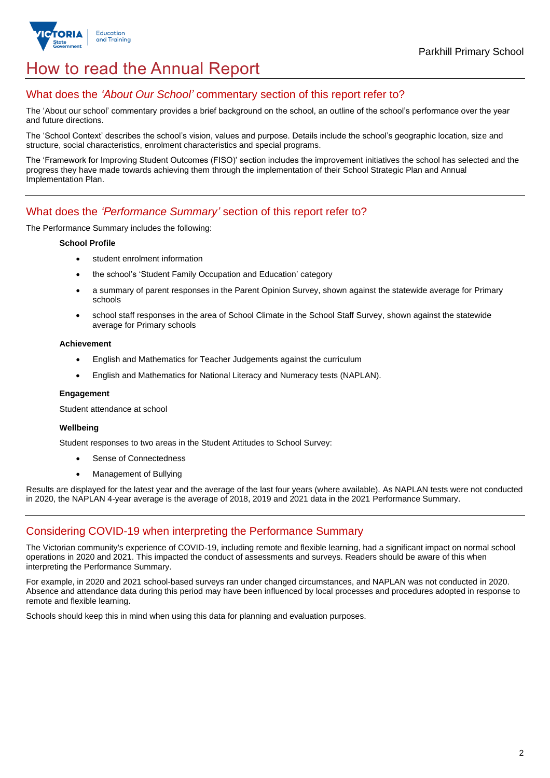

# How to read the Annual Report

## What does the *'About Our School'* commentary section of this report refer to?

The 'About our school' commentary provides a brief background on the school, an outline of the school's performance over the year and future directions.

The 'School Context' describes the school's vision, values and purpose. Details include the school's geographic location, size and structure, social characteristics, enrolment characteristics and special programs.

The 'Framework for Improving Student Outcomes (FISO)' section includes the improvement initiatives the school has selected and the progress they have made towards achieving them through the implementation of their School Strategic Plan and Annual Implementation Plan.

### What does the *'Performance Summary'* section of this report refer to?

The Performance Summary includes the following:

### **School Profile**

- student enrolment information
- the school's 'Student Family Occupation and Education' category
- a summary of parent responses in the Parent Opinion Survey, shown against the statewide average for Primary schools
- school staff responses in the area of School Climate in the School Staff Survey, shown against the statewide average for Primary schools

### **Achievement**

- English and Mathematics for Teacher Judgements against the curriculum
- English and Mathematics for National Literacy and Numeracy tests (NAPLAN).

### **Engagement**

Student attendance at school

### **Wellbeing**

Student responses to two areas in the Student Attitudes to School Survey:

- Sense of Connectedness
- Management of Bullying

Results are displayed for the latest year and the average of the last four years (where available). As NAPLAN tests were not conducted in 2020, the NAPLAN 4-year average is the average of 2018, 2019 and 2021 data in the 2021 Performance Summary.

## Considering COVID-19 when interpreting the Performance Summary

The Victorian community's experience of COVID-19, including remote and flexible learning, had a significant impact on normal school operations in 2020 and 2021. This impacted the conduct of assessments and surveys. Readers should be aware of this when interpreting the Performance Summary.

For example, in 2020 and 2021 school-based surveys ran under changed circumstances, and NAPLAN was not conducted in 2020. Absence and attendance data during this period may have been influenced by local processes and procedures adopted in response to remote and flexible learning.

Schools should keep this in mind when using this data for planning and evaluation purposes.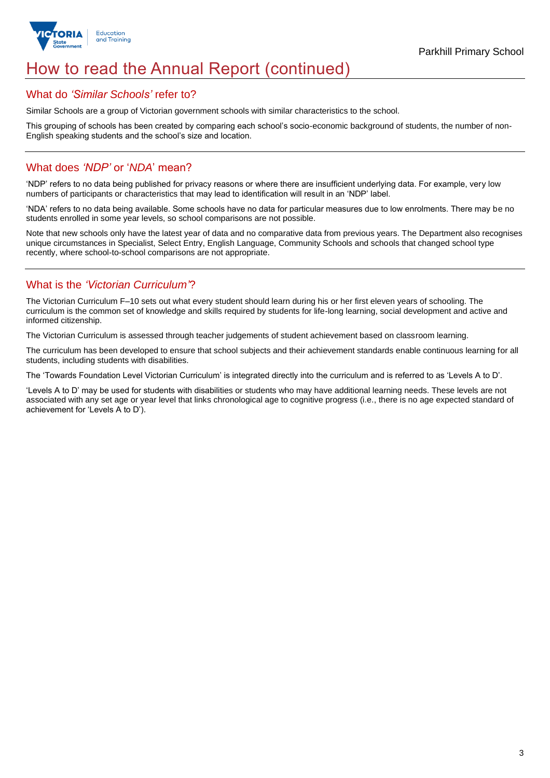

# How to read the Annual Report (continued)

### What do *'Similar Schools'* refer to?

Similar Schools are a group of Victorian government schools with similar characteristics to the school.

This grouping of schools has been created by comparing each school's socio-economic background of students, the number of non-English speaking students and the school's size and location.

## What does *'NDP'* or '*NDA*' mean?

'NDP' refers to no data being published for privacy reasons or where there are insufficient underlying data. For example, very low numbers of participants or characteristics that may lead to identification will result in an 'NDP' label.

'NDA' refers to no data being available. Some schools have no data for particular measures due to low enrolments. There may be no students enrolled in some year levels, so school comparisons are not possible.

Note that new schools only have the latest year of data and no comparative data from previous years. The Department also recognises unique circumstances in Specialist, Select Entry, English Language, Community Schools and schools that changed school type recently, where school-to-school comparisons are not appropriate.

## What is the *'Victorian Curriculum'*?

The Victorian Curriculum F–10 sets out what every student should learn during his or her first eleven years of schooling. The curriculum is the common set of knowledge and skills required by students for life-long learning, social development and active and informed citizenship.

The Victorian Curriculum is assessed through teacher judgements of student achievement based on classroom learning.

The curriculum has been developed to ensure that school subjects and their achievement standards enable continuous learning for all students, including students with disabilities.

The 'Towards Foundation Level Victorian Curriculum' is integrated directly into the curriculum and is referred to as 'Levels A to D'.

'Levels A to D' may be used for students with disabilities or students who may have additional learning needs. These levels are not associated with any set age or year level that links chronological age to cognitive progress (i.e., there is no age expected standard of achievement for 'Levels A to D').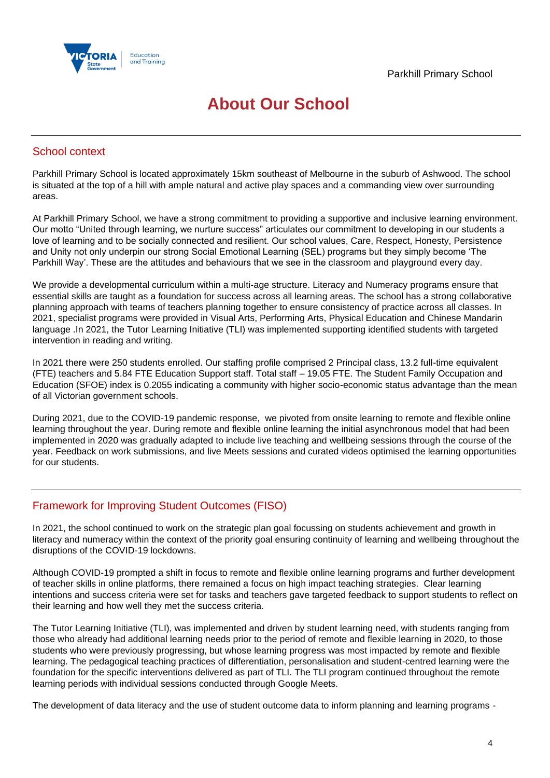

# **About Our School**

## School context

Parkhill Primary School is located approximately 15km southeast of Melbourne in the suburb of Ashwood. The school is situated at the top of a hill with ample natural and active play spaces and a commanding view over surrounding areas.

At Parkhill Primary School, we have a strong commitment to providing a supportive and inclusive learning environment. Our motto "United through learning, we nurture success" articulates our commitment to developing in our students a love of learning and to be socially connected and resilient. Our school values, Care, Respect, Honesty, Persistence and Unity not only underpin our strong Social Emotional Learning (SEL) programs but they simply become 'The Parkhill Way'. These are the attitudes and behaviours that we see in the classroom and playground every day.

We provide a developmental curriculum within a multi-age structure. Literacy and Numeracy programs ensure that essential skills are taught as a foundation for success across all learning areas. The school has a strong collaborative planning approach with teams of teachers planning together to ensure consistency of practice across all classes. In 2021, specialist programs were provided in Visual Arts, Performing Arts, Physical Education and Chinese Mandarin language .In 2021, the Tutor Learning Initiative (TLI) was implemented supporting identified students with targeted intervention in reading and writing.

In 2021 there were 250 students enrolled. Our staffing profile comprised 2 Principal class, 13.2 full-time equivalent (FTE) teachers and 5.84 FTE Education Support staff. Total staff – 19.05 FTE. The Student Family Occupation and Education (SFOE) index is 0.2055 indicating a community with higher socio-economic status advantage than the mean of all Victorian government schools.

During 2021, due to the COVID-19 pandemic response, we pivoted from onsite learning to remote and flexible online learning throughout the year. During remote and flexible online learning the initial asynchronous model that had been implemented in 2020 was gradually adapted to include live teaching and wellbeing sessions through the course of the year. Feedback on work submissions, and live Meets sessions and curated videos optimised the learning opportunities for our students.

## Framework for Improving Student Outcomes (FISO)

In 2021, the school continued to work on the strategic plan goal focussing on students achievement and growth in literacy and numeracy within the context of the priority goal ensuring continuity of learning and wellbeing throughout the disruptions of the COVID-19 lockdowns.

Although COVID-19 prompted a shift in focus to remote and flexible online learning programs and further development of teacher skills in online platforms, there remained a focus on high impact teaching strategies. Clear learning intentions and success criteria were set for tasks and teachers gave targeted feedback to support students to reflect on their learning and how well they met the success criteria.

The Tutor Learning Initiative (TLI), was implemented and driven by student learning need, with students ranging from those who already had additional learning needs prior to the period of remote and flexible learning in 2020, to those students who were previously progressing, but whose learning progress was most impacted by remote and flexible learning. The pedagogical teaching practices of differentiation, personalisation and student-centred learning were the foundation for the specific interventions delivered as part of TLI. The TLI program continued throughout the remote learning periods with individual sessions conducted through Google Meets.

The development of data literacy and the use of student outcome data to inform planning and learning programs -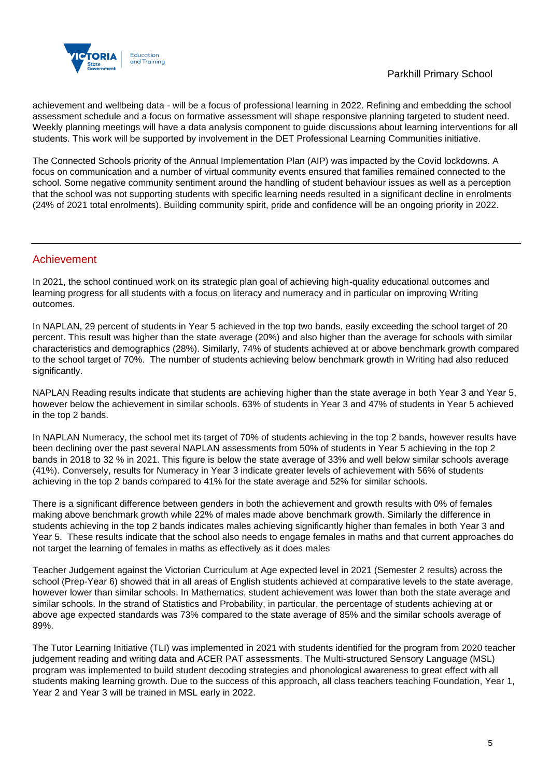

achievement and wellbeing data - will be a focus of professional learning in 2022. Refining and embedding the school assessment schedule and a focus on formative assessment will shape responsive planning targeted to student need. Weekly planning meetings will have a data analysis component to guide discussions about learning interventions for all students. This work will be supported by involvement in the DET Professional Learning Communities initiative.

The Connected Schools priority of the Annual Implementation Plan (AIP) was impacted by the Covid lockdowns. A focus on communication and a number of virtual community events ensured that families remained connected to the school. Some negative community sentiment around the handling of student behaviour issues as well as a perception that the school was not supporting students with specific learning needs resulted in a significant decline in enrolments (24% of 2021 total enrolments). Building community spirit, pride and confidence will be an ongoing priority in 2022.

## Achievement

In 2021, the school continued work on its strategic plan goal of achieving high-quality educational outcomes and learning progress for all students with a focus on literacy and numeracy and in particular on improving Writing outcomes.

In NAPLAN, 29 percent of students in Year 5 achieved in the top two bands, easily exceeding the school target of 20 percent. This result was higher than the state average (20%) and also higher than the average for schools with similar characteristics and demographics (28%). Similarly, 74% of students achieved at or above benchmark growth compared to the school target of 70%. The number of students achieving below benchmark growth in Writing had also reduced significantly.

NAPLAN Reading results indicate that students are achieving higher than the state average in both Year 3 and Year 5, however below the achievement in similar schools. 63% of students in Year 3 and 47% of students in Year 5 achieved in the top 2 bands.

In NAPLAN Numeracy, the school met its target of 70% of students achieving in the top 2 bands, however results have been declining over the past several NAPLAN assessments from 50% of students in Year 5 achieving in the top 2 bands in 2018 to 32 % in 2021. This figure is below the state average of 33% and well below similar schools average (41%). Conversely, results for Numeracy in Year 3 indicate greater levels of achievement with 56% of students achieving in the top 2 bands compared to 41% for the state average and 52% for similar schools.

There is a significant difference between genders in both the achievement and growth results with 0% of females making above benchmark growth while 22% of males made above benchmark growth. Similarly the difference in students achieving in the top 2 bands indicates males achieving significantly higher than females in both Year 3 and Year 5. These results indicate that the school also needs to engage females in maths and that current approaches do not target the learning of females in maths as effectively as it does males

Teacher Judgement against the Victorian Curriculum at Age expected level in 2021 (Semester 2 results) across the school (Prep-Year 6) showed that in all areas of English students achieved at comparative levels to the state average, however lower than similar schools. In Mathematics, student achievement was lower than both the state average and similar schools. In the strand of Statistics and Probability, in particular, the percentage of students achieving at or above age expected standards was 73% compared to the state average of 85% and the similar schools average of 89%.

The Tutor Learning Initiative (TLI) was implemented in 2021 with students identified for the program from 2020 teacher judgement reading and writing data and ACER PAT assessments. The Multi-structured Sensory Language (MSL) program was implemented to build student decoding strategies and phonological awareness to great effect with all students making learning growth. Due to the success of this approach, all class teachers teaching Foundation, Year 1, Year 2 and Year 3 will be trained in MSL early in 2022.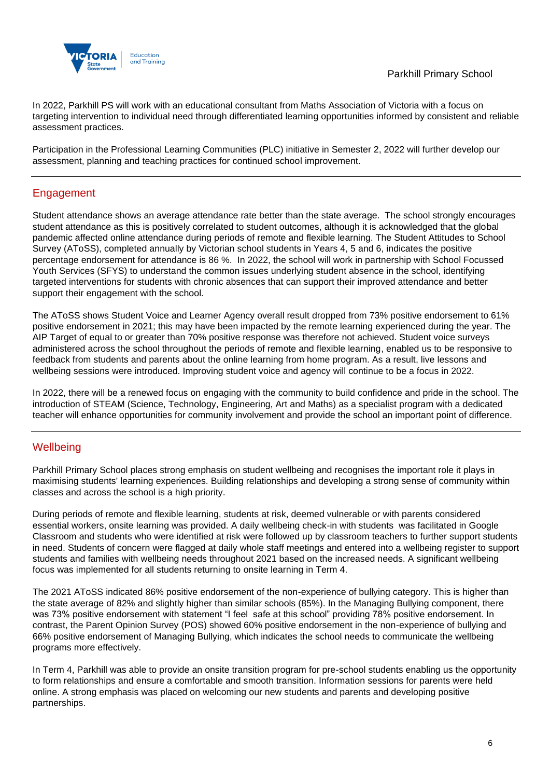

In 2022, Parkhill PS will work with an educational consultant from Maths Association of Victoria with a focus on targeting intervention to individual need through differentiated learning opportunities informed by consistent and reliable assessment practices.

Participation in the Professional Learning Communities (PLC) initiative in Semester 2, 2022 will further develop our assessment, planning and teaching practices for continued school improvement.

# Engagement

Student attendance shows an average attendance rate better than the state average. The school strongly encourages student attendance as this is positively correlated to student outcomes, although it is acknowledged that the global pandemic affected online attendance during periods of remote and flexible learning. The Student Attitudes to School Survey (AToSS), completed annually by Victorian school students in Years 4, 5 and 6, indicates the positive percentage endorsement for attendance is 86 %. In 2022, the school will work in partnership with School Focussed Youth Services (SFYS) to understand the common issues underlying student absence in the school, identifying targeted interventions for students with chronic absences that can support their improved attendance and better support their engagement with the school.

The AToSS shows Student Voice and Learner Agency overall result dropped from 73% positive endorsement to 61% positive endorsement in 2021; this may have been impacted by the remote learning experienced during the year. The AIP Target of equal to or greater than 70% positive response was therefore not achieved. Student voice surveys administered across the school throughout the periods of remote and flexible learning, enabled us to be responsive to feedback from students and parents about the online learning from home program. As a result, live lessons and wellbeing sessions were introduced. Improving student voice and agency will continue to be a focus in 2022.

In 2022, there will be a renewed focus on engaging with the community to build confidence and pride in the school. The introduction of STEAM (Science, Technology, Engineering, Art and Maths) as a specialist program with a dedicated teacher will enhance opportunities for community involvement and provide the school an important point of difference.

## **Wellbeing**

Parkhill Primary School places strong emphasis on student wellbeing and recognises the important role it plays in maximising students' learning experiences. Building relationships and developing a strong sense of community within classes and across the school is a high priority.

During periods of remote and flexible learning, students at risk, deemed vulnerable or with parents considered essential workers, onsite learning was provided. A daily wellbeing check-in with students was facilitated in Google Classroom and students who were identified at risk were followed up by classroom teachers to further support students in need. Students of concern were flagged at daily whole staff meetings and entered into a wellbeing register to support students and families with wellbeing needs throughout 2021 based on the increased needs. A significant wellbeing focus was implemented for all students returning to onsite learning in Term 4.

The 2021 AToSS indicated 86% positive endorsement of the non-experience of bullying category. This is higher than the state average of 82% and slightly higher than similar schools (85%). In the Managing Bullying component, there was 73% positive endorsement with statement "I feel safe at this school" providing 78% positive endorsement. In contrast, the Parent Opinion Survey (POS) showed 60% positive endorsement in the non-experience of bullying and 66% positive endorsement of Managing Bullying, which indicates the school needs to communicate the wellbeing programs more effectively.

In Term 4, Parkhill was able to provide an onsite transition program for pre-school students enabling us the opportunity to form relationships and ensure a comfortable and smooth transition. Information sessions for parents were held online. A strong emphasis was placed on welcoming our new students and parents and developing positive partnerships.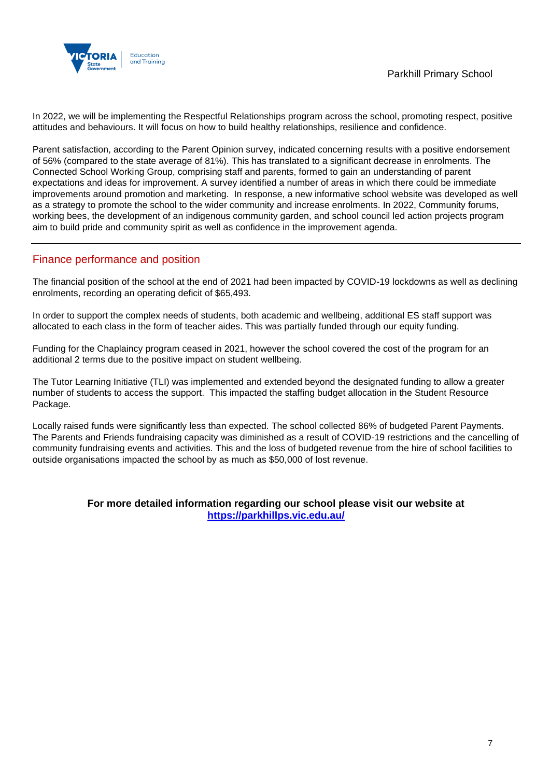

In 2022, we will be implementing the Respectful Relationships program across the school, promoting respect, positive attitudes and behaviours. It will focus on how to build healthy relationships, resilience and confidence.

Parent satisfaction, according to the Parent Opinion survey, indicated concerning results with a positive endorsement of 56% (compared to the state average of 81%). This has translated to a significant decrease in enrolments. The Connected School Working Group, comprising staff and parents, formed to gain an understanding of parent expectations and ideas for improvement. A survey identified a number of areas in which there could be immediate improvements around promotion and marketing. In response, a new informative school website was developed as well as a strategy to promote the school to the wider community and increase enrolments. In 2022, Community forums, working bees, the development of an indigenous community garden, and school council led action projects program aim to build pride and community spirit as well as confidence in the improvement agenda.

### Finance performance and position

The financial position of the school at the end of 2021 had been impacted by COVID-19 lockdowns as well as declining enrolments, recording an operating deficit of \$65,493.

In order to support the complex needs of students, both academic and wellbeing, additional ES staff support was allocated to each class in the form of teacher aides. This was partially funded through our equity funding.

Funding for the Chaplaincy program ceased in 2021, however the school covered the cost of the program for an additional 2 terms due to the positive impact on student wellbeing.

The Tutor Learning Initiative (TLI) was implemented and extended beyond the designated funding to allow a greater number of students to access the support. This impacted the staffing budget allocation in the Student Resource Package.

Locally raised funds were significantly less than expected. The school collected 86% of budgeted Parent Payments. The Parents and Friends fundraising capacity was diminished as a result of COVID-19 restrictions and the cancelling of community fundraising events and activities. This and the loss of budgeted revenue from the hire of school facilities to outside organisations impacted the school by as much as \$50,000 of lost revenue.

### **For more detailed information regarding our school please visit our website at <https://parkhillps.vic.edu.au/>**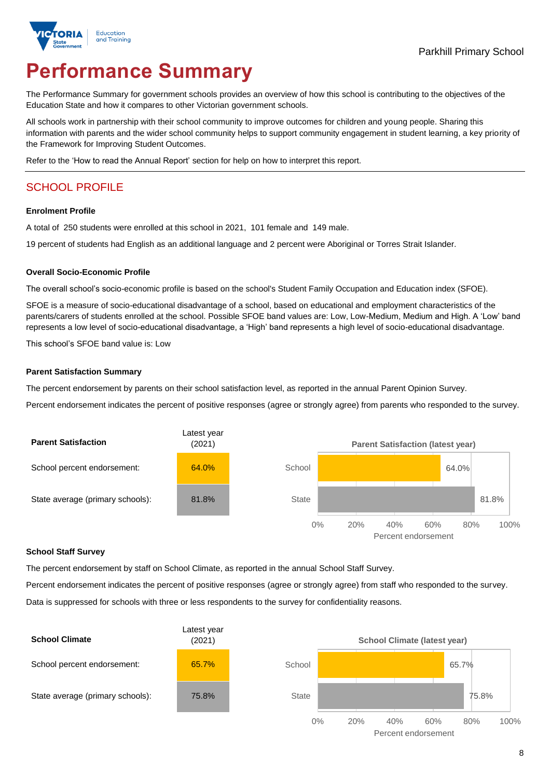

# **Performance Summary**

The Performance Summary for government schools provides an overview of how this school is contributing to the objectives of the Education State and how it compares to other Victorian government schools.

All schools work in partnership with their school community to improve outcomes for children and young people. Sharing this information with parents and the wider school community helps to support community engagement in student learning, a key priority of the Framework for Improving Student Outcomes.

Refer to the 'How to read the Annual Report' section for help on how to interpret this report.

# SCHOOL PROFILE

### **Enrolment Profile**

A total of 250 students were enrolled at this school in 2021, 101 female and 149 male.

19 percent of students had English as an additional language and 2 percent were Aboriginal or Torres Strait Islander.

### **Overall Socio-Economic Profile**

The overall school's socio-economic profile is based on the school's Student Family Occupation and Education index (SFOE).

SFOE is a measure of socio-educational disadvantage of a school, based on educational and employment characteristics of the parents/carers of students enrolled at the school. Possible SFOE band values are: Low, Low-Medium, Medium and High. A 'Low' band represents a low level of socio-educational disadvantage, a 'High' band represents a high level of socio-educational disadvantage.

This school's SFOE band value is: Low

### **Parent Satisfaction Summary**

The percent endorsement by parents on their school satisfaction level, as reported in the annual Parent Opinion Survey.

Percent endorsement indicates the percent of positive responses (agree or strongly agree) from parents who responded to the survey.



#### **School Staff Survey**

The percent endorsement by staff on School Climate, as reported in the annual School Staff Survey.

Percent endorsement indicates the percent of positive responses (agree or strongly agree) from staff who responded to the survey. Data is suppressed for schools with three or less respondents to the survey for confidentiality reasons.

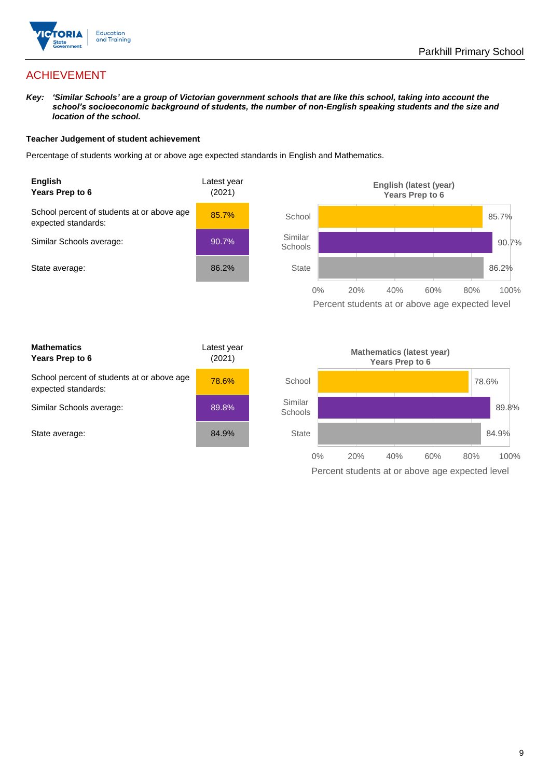

# ACHIEVEMENT

*Key: 'Similar Schools' are a group of Victorian government schools that are like this school, taking into account the school's socioeconomic background of students, the number of non-English speaking students and the size and location of the school.*

### **Teacher Judgement of student achievement**

Percentage of students working at or above age expected standards in English and Mathematics.



Percent students at or above age expected level

| <b>Mathematics</b><br>Years Prep to 6                             | Latest year<br>(2021) |
|-------------------------------------------------------------------|-----------------------|
| School percent of students at or above age<br>expected standards: | 78.6%                 |
| Similar Schools average:                                          | 89.8%                 |
| State average:                                                    | 84.9%                 |

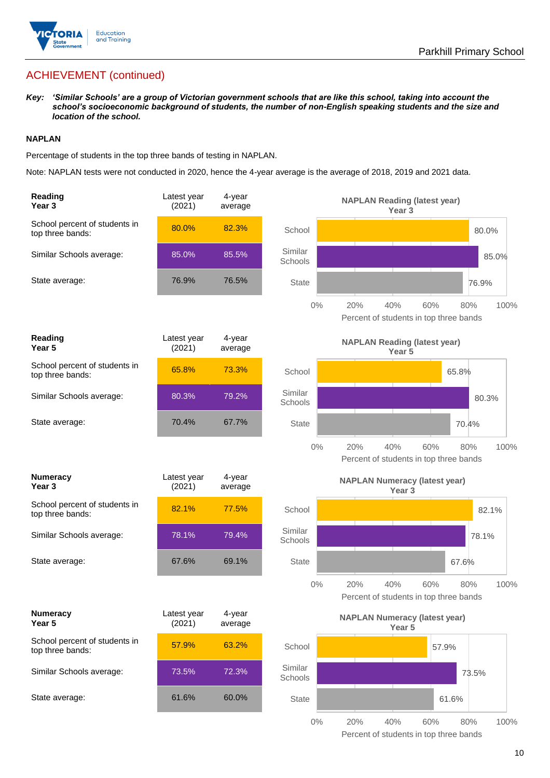

# ACHIEVEMENT (continued)

*Key: 'Similar Schools' are a group of Victorian government schools that are like this school, taking into account the school's socioeconomic background of students, the number of non-English speaking students and the size and location of the school.*

### **NAPLAN**

Percentage of students in the top three bands of testing in NAPLAN.

Note: NAPLAN tests were not conducted in 2020, hence the 4-year average is the average of 2018, 2019 and 2021 data.

| Reading<br>Year <sub>3</sub>                      | Latest year<br>(2021) | $4$ -year<br>average |                    | <b>NAPLAN Reading (latest year)</b><br>Year 3                              |
|---------------------------------------------------|-----------------------|----------------------|--------------------|----------------------------------------------------------------------------|
| School percent of students in<br>top three bands: | 80.0%                 | 82.3%                | School             | 80.0%                                                                      |
| Similar Schools average:                          | 85.0%                 | 85.5%                | Similar<br>Schools | 85.0%                                                                      |
| State average:                                    | 76.9%                 | 76.5%                | <b>State</b>       | 76.9%                                                                      |
|                                                   |                       |                      | 0%                 | 20%<br>40%<br>60%<br>80%<br>100%<br>Percent of students in top three bands |
| <b>Reading</b><br>Year <sub>5</sub>               | Latest year<br>(2021) | 4-year<br>average    |                    | <b>NAPLAN Reading (latest year)</b><br>Year 5                              |
| School percent of students in<br>top three bands: | 65.8%                 | 73.3%                | School             | 65.8%                                                                      |
| Similar Schools average:                          | 80.3%                 | 79.2%                | Similar<br>Schools | 80.3%                                                                      |
| State average:                                    | 70.4%                 | 67.7%                | <b>State</b>       | 70.4%                                                                      |
|                                                   |                       |                      | $0\%$              | 20%<br>40%<br>60%<br>80%<br>100%<br>Percent of students in top three bands |
| <b>Numeracy</b><br>Year <sub>3</sub>              | Latest year<br>(2021) | 4-year<br>average    |                    | <b>NAPLAN Numeracy (latest year)</b><br>Year <sub>3</sub>                  |
| School percent of students in<br>top three bands: | 82.1%                 | 77.5%                | School             | 82.1%                                                                      |
| Similar Schools average:                          | 78.1%                 | 79.4%                | Similar<br>Schools | 78.1%                                                                      |
| State average:                                    | 67.6%                 | 69.1%                | <b>State</b>       | 67.6%                                                                      |
|                                                   |                       |                      | $0\%$              | 100%<br>20%<br>40%<br>60%<br>80%<br>Percent of students in top three bands |
| <b>Numeracy</b><br>Year 5                         | Latest year<br>(2021) | 4-year<br>average    |                    | <b>NAPLAN Numeracy (latest year)</b><br>Year 5                             |
| School percent of students in<br>top three bands: | 57.9%                 | 63.2%                | School             | 57.9%                                                                      |
| Similar Schools average:                          | 73.5%                 | 72.3%                | Similar<br>Schools | 73.5%                                                                      |
| State average:                                    | 61.6%                 | 60.0%                | <b>State</b>       | 61.6%                                                                      |
|                                                   |                       |                      | $0\%$              | 20%<br>40%<br>60%<br>80%<br>100%                                           |

Percent of students in top three bands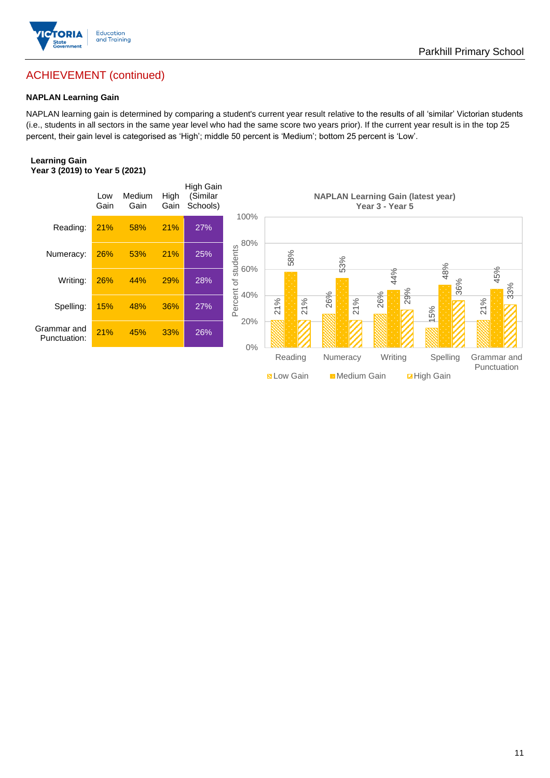

# ACHIEVEMENT (continued)

### **NAPLAN Learning Gain**

NAPLAN learning gain is determined by comparing a student's current year result relative to the results of all 'similar' Victorian students (i.e., students in all sectors in the same year level who had the same score two years prior). If the current year result is in the top 25 percent, their gain level is categorised as 'High'; middle 50 percent is 'Medium'; bottom 25 percent is 'Low'.

### **Learning Gain Year 3 (2019) to Year 5 (2021)**

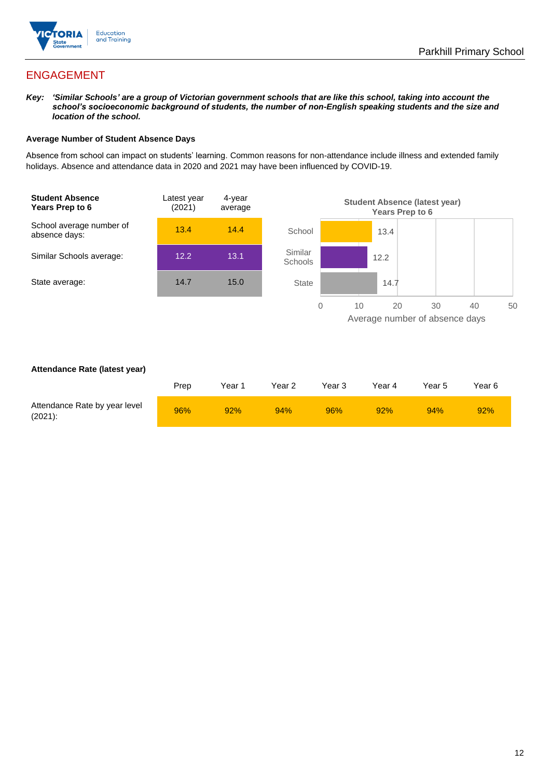

# ENGAGEMENT

*Key: 'Similar Schools' are a group of Victorian government schools that are like this school, taking into account the school's socioeconomic background of students, the number of non-English speaking students and the size and location of the school.*

### **Average Number of Student Absence Days**

Absence from school can impact on students' learning. Common reasons for non-attendance include illness and extended family holidays. Absence and attendance data in 2020 and 2021 may have been influenced by COVID-19.



### **Attendance Rate (latest year)**

|                                             | Prep | Year 1 | Year 2 | Year 3 | Year 4 | Year 5 | Year 6 |
|---------------------------------------------|------|--------|--------|--------|--------|--------|--------|
| Attendance Rate by year level<br>$(2021)$ : | 96%  | 92%    | 94%    | 96%    | 92%    | 94%    | 92%    |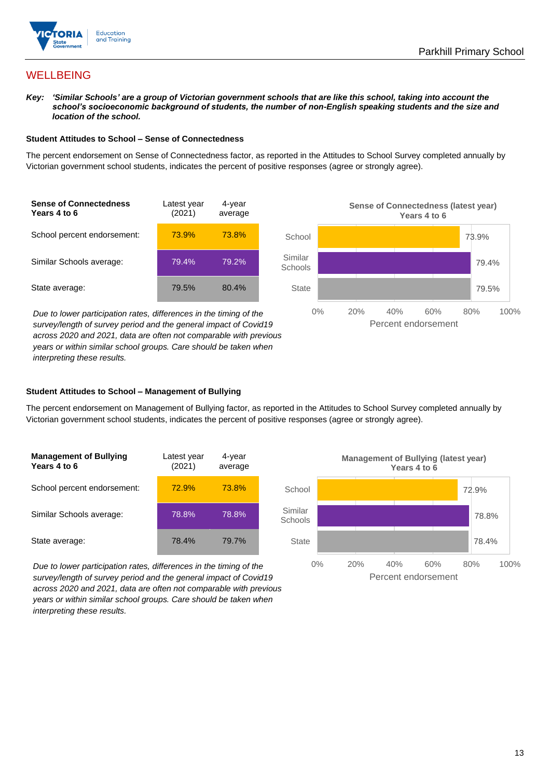

# **WELLBEING**

*Key: 'Similar Schools' are a group of Victorian government schools that are like this school, taking into account the school's socioeconomic background of students, the number of non-English speaking students and the size and location of the school.*

### **Student Attitudes to School – Sense of Connectedness**

The percent endorsement on Sense of Connectedness factor, as reported in the Attitudes to School Survey completed annually by Victorian government school students, indicates the percent of positive responses (agree or strongly agree).



*Due to lower participation rates, differences in the timing of the survey/length of survey period and the general impact of Covid19 across 2020 and 2021, data are often not comparable with previous years or within similar school groups. Care should be taken when interpreting these results.*



### **Student Attitudes to School – Management of Bullying**

The percent endorsement on Management of Bullying factor, as reported in the Attitudes to School Survey completed annually by Victorian government school students, indicates the percent of positive responses (agree or strongly agree).

| <b>Management of Bullying</b><br>Years 4 to 6 | Latest year<br>(2021) | 4-year<br>average |  |
|-----------------------------------------------|-----------------------|-------------------|--|
| School percent endorsement:                   | 72.9%                 | 73.8%             |  |
| Similar Schools average:                      | 78.8%                 | 78.8%             |  |
| State average:                                | 78.4%                 | 79.7%             |  |

*Due to lower participation rates, differences in the timing of the survey/length of survey period and the general impact of Covid19 across 2020 and 2021, data are often not comparable with previous years or within similar school groups. Care should be taken when interpreting these results.*

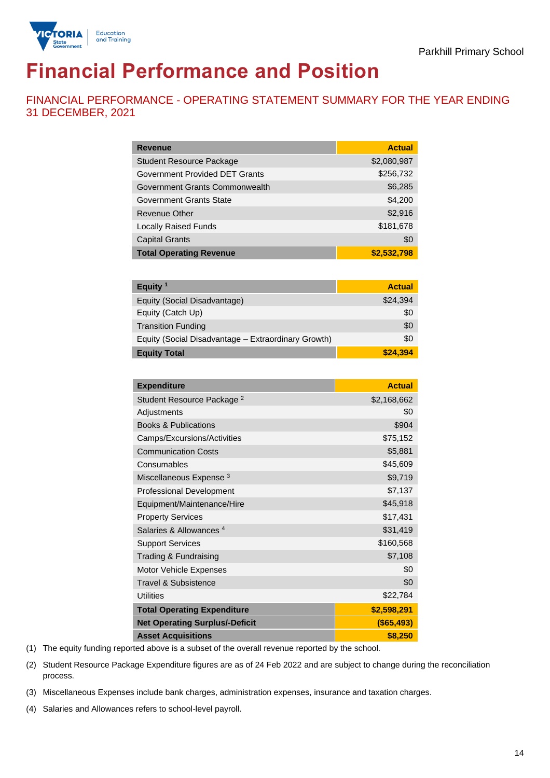

# **Financial Performance and Position**

FINANCIAL PERFORMANCE - OPERATING STATEMENT SUMMARY FOR THE YEAR ENDING 31 DECEMBER, 2021

| <b>Revenue</b>                  | <b>Actual</b> |
|---------------------------------|---------------|
| <b>Student Resource Package</b> | \$2,080,987   |
| Government Provided DET Grants  | \$256,732     |
| Government Grants Commonwealth  | \$6,285       |
| <b>Government Grants State</b>  | \$4,200       |
| <b>Revenue Other</b>            | \$2,916       |
| <b>Locally Raised Funds</b>     | \$181,678     |
| <b>Capital Grants</b>           | \$0           |
| <b>Total Operating Revenue</b>  | \$2,532,798   |

| Equity $1$                                          | <b>Actual</b> |
|-----------------------------------------------------|---------------|
| Equity (Social Disadvantage)                        | \$24,394      |
| Equity (Catch Up)                                   | \$0           |
| <b>Transition Funding</b>                           | \$0           |
| Equity (Social Disadvantage - Extraordinary Growth) | \$0           |
| <b>Equity Total</b>                                 | \$24,394      |

| <b>Expenditure</b>                    | <b>Actual</b> |
|---------------------------------------|---------------|
| Student Resource Package <sup>2</sup> | \$2,168,662   |
| Adjustments                           | \$0           |
| <b>Books &amp; Publications</b>       | \$904         |
| Camps/Excursions/Activities           | \$75,152      |
| <b>Communication Costs</b>            | \$5,881       |
| Consumables                           | \$45,609      |
| Miscellaneous Expense <sup>3</sup>    | \$9,719       |
| <b>Professional Development</b>       | \$7,137       |
| Equipment/Maintenance/Hire            | \$45,918      |
| <b>Property Services</b>              | \$17,431      |
| Salaries & Allowances <sup>4</sup>    | \$31,419      |
| <b>Support Services</b>               | \$160,568     |
| Trading & Fundraising                 | \$7,108       |
| Motor Vehicle Expenses                | \$0           |
| Travel & Subsistence                  | \$0           |
| <b>Utilities</b>                      | \$22,784      |
| <b>Total Operating Expenditure</b>    | \$2,598,291   |
| <b>Net Operating Surplus/-Deficit</b> | ( \$65,493)   |
| <b>Asset Acquisitions</b>             | \$8,250       |

(1) The equity funding reported above is a subset of the overall revenue reported by the school.

(2) Student Resource Package Expenditure figures are as of 24 Feb 2022 and are subject to change during the reconciliation process.

(3) Miscellaneous Expenses include bank charges, administration expenses, insurance and taxation charges.

(4) Salaries and Allowances refers to school-level payroll.